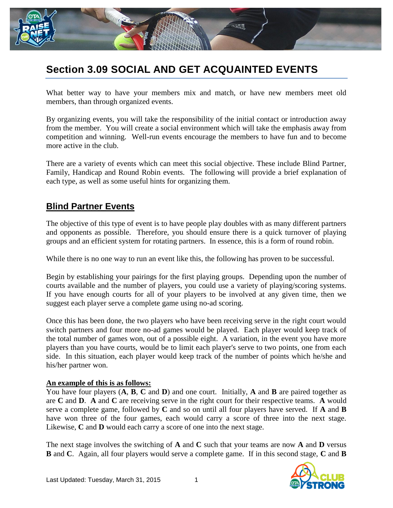

# **Section 3.09 SOCIAL AND GET ACQUAINTED EVENTS**

What better way to have your members mix and match, or have new members meet old members, than through organized events.

By organizing events, you will take the responsibility of the initial contact or introduction away from the member. You will create a social environment which will take the emphasis away from competition and winning. Well-run events encourage the members to have fun and to become more active in the club.

There are a variety of events which can meet this social objective. These include Blind Partner, Family, Handicap and Round Robin events. The following will provide a brief explanation of each type, as well as some useful hints for organizing them.

#### **Blind Partner Events**

The objective of this type of event is to have people play doubles with as many different partners and opponents as possible. Therefore, you should ensure there is a quick turnover of playing groups and an efficient system for rotating partners. In essence, this is a form of round robin.

While there is no one way to run an event like this, the following has proven to be successful.

Begin by establishing your pairings for the first playing groups. Depending upon the number of courts available and the number of players, you could use a variety of playing/scoring systems. If you have enough courts for all of your players to be involved at any given time, then we suggest each player serve a complete game using no-ad scoring.

Once this has been done, the two players who have been receiving serve in the right court would switch partners and four more no-ad games would be played. Each player would keep track of the total number of games won, out of a possible eight. A variation, in the event you have more players than you have courts, would be to limit each player's serve to two points, one from each side. In this situation, each player would keep track of the number of points which he/she and his/her partner won.

#### **An example of this is as follows:**

You have four players (**A**, **B**, **C** and **D**) and one court. Initially, **A** and **B** are paired together as are **C** and **D**. **A** and **C** are receiving serve in the right court for their respective teams. **A** would serve a complete game, followed by **C** and so on until all four players have served. If **A** and **B** have won three of the four games, each would carry a score of three into the next stage. Likewise, **C** and **D** would each carry a score of one into the next stage.

The next stage involves the switching of **A** and **C** such that your teams are now **A** and **D** versus **B** and **C**. Again, all four players would serve a complete game. If in this second stage, **C** and **B**

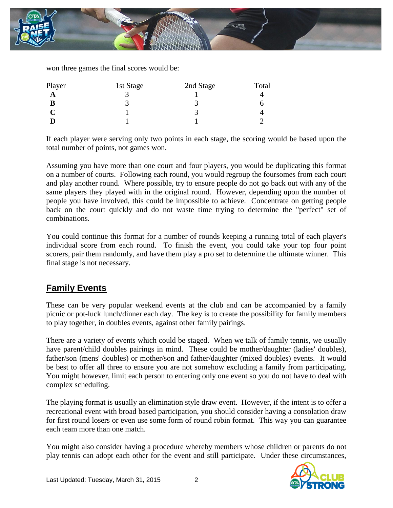

won three games the final scores would be:

| Player | 1st Stage | 2nd Stage | Total |
|--------|-----------|-----------|-------|
| A      |           |           |       |
| В      |           |           |       |
| C      |           |           |       |
|        |           |           |       |

If each player were serving only two points in each stage, the scoring would be based upon the total number of points, not games won.

Assuming you have more than one court and four players, you would be duplicating this format on a number of courts. Following each round, you would regroup the foursomes from each court and play another round. Where possible, try to ensure people do not go back out with any of the same players they played with in the original round. However, depending upon the number of people you have involved, this could be impossible to achieve. Concentrate on getting people back on the court quickly and do not waste time trying to determine the "perfect" set of combinations.

You could continue this format for a number of rounds keeping a running total of each player's individual score from each round. To finish the event, you could take your top four point scorers, pair them randomly, and have them play a pro set to determine the ultimate winner. This final stage is not necessary.

## **Family Events**

These can be very popular weekend events at the club and can be accompanied by a family picnic or pot-luck lunch/dinner each day. The key is to create the possibility for family members to play together, in doubles events, against other family pairings.

There are a variety of events which could be staged. When we talk of family tennis, we usually have parent/child doubles pairings in mind. These could be mother/daughter (ladies' doubles), father/son (mens' doubles) or mother/son and father/daughter (mixed doubles) events. It would be best to offer all three to ensure you are not somehow excluding a family from participating. You might however, limit each person to entering only one event so you do not have to deal with complex scheduling.

The playing format is usually an elimination style draw event. However, if the intent is to offer a recreational event with broad based participation, you should consider having a consolation draw for first round losers or even use some form of round robin format. This way you can guarantee each team more than one match.

You might also consider having a procedure whereby members whose children or parents do not play tennis can adopt each other for the event and still participate. Under these circumstances,

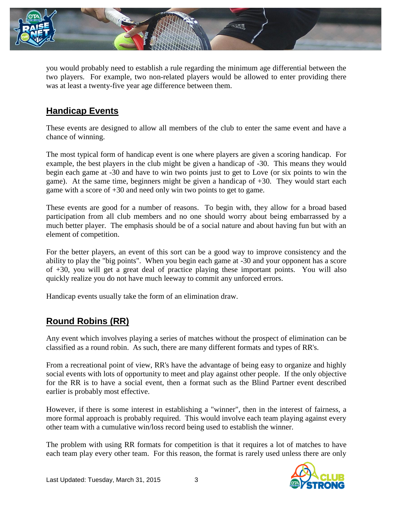

you would probably need to establish a rule regarding the minimum age differential between the two players. For example, two non-related players would be allowed to enter providing there was at least a twenty-five year age difference between them.

## **Handicap Events**

These events are designed to allow all members of the club to enter the same event and have a chance of winning.

The most typical form of handicap event is one where players are given a scoring handicap. For example, the best players in the club might be given a handicap of -30. This means they would begin each game at -30 and have to win two points just to get to Love (or six points to win the game). At the same time, beginners might be given a handicap of +30. They would start each game with a score of +30 and need only win two points to get to game.

These events are good for a number of reasons. To begin with, they allow for a broad based participation from all club members and no one should worry about being embarrassed by a much better player. The emphasis should be of a social nature and about having fun but with an element of competition.

For the better players, an event of this sort can be a good way to improve consistency and the ability to play the "big points". When you begin each game at -30 and your opponent has a score of +30, you will get a great deal of practice playing these important points. You will also quickly realize you do not have much leeway to commit any unforced errors.

Handicap events usually take the form of an elimination draw.

## **Round Robins (RR)**

Any event which involves playing a series of matches without the prospect of elimination can be classified as a round robin. As such, there are many different formats and types of RR's.

From a recreational point of view, RR's have the advantage of being easy to organize and highly social events with lots of opportunity to meet and play against other people. If the only objective for the RR is to have a social event, then a format such as the Blind Partner event described earlier is probably most effective.

However, if there is some interest in establishing a "winner", then in the interest of fairness, a more formal approach is probably required. This would involve each team playing against every other team with a cumulative win/loss record being used to establish the winner.

The problem with using RR formats for competition is that it requires a lot of matches to have each team play every other team. For this reason, the format is rarely used unless there are only